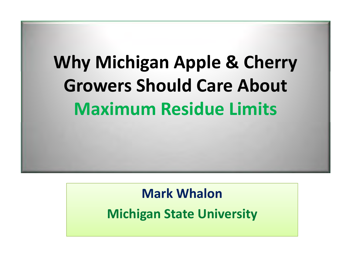# **Why Michigan Apple & Cherry Growers Should Care About Maximum Residue Limits**

## **Mark Whalon**

**Michigan State University**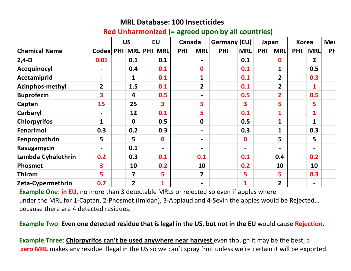#### **MRL Database: 100 Insecticides**

#### **Red Unharmonized (= agreed upon by all countries)**

|                      |                         | <b>US</b>      | <b>EU</b>                | Canada |                          | Germany (EU) |                  | Japan      |                |            | <b>Korea</b>   | Me <sub>&gt;</sub> |
|----------------------|-------------------------|----------------|--------------------------|--------|--------------------------|--------------|------------------|------------|----------------|------------|----------------|--------------------|
| <b>Chemical Name</b> | Codex PHI MRL PHI MRL   |                |                          | PHI    | <b>MRL</b>               | <b>PHI</b>   | <b>MRL</b>       | <b>PHI</b> | <b>MRL</b>     | <b>PHI</b> | <b>MRL</b>     | PF                 |
| $ 2,4-D$             | 0.01                    | 0.1            | 0.1                      |        | $\overline{\phantom{a}}$ |              | 0.1              |            | $\mathbf 0$    |            | $\overline{2}$ |                    |
| Acequinocyl          |                         | 0.4            | 0.1                      |        | $\mathbf 0$              |              | 0.1              |            | 1              |            | 0.5            |                    |
| Acetamiprid          |                         |                | 0.1                      |        | 1                        |              | 0.1              |            | $\overline{2}$ |            | 0.3            |                    |
| Azinphos-methyl      | $\overline{2}$          | 1.5            | 0.1                      |        | $\overline{2}$           |              | 0.1              |            | $\overline{2}$ |            |                |                    |
| <b>Buprofezin</b>    | 3                       | 4              | 0.5                      |        |                          |              | 0.5              |            | $\overline{2}$ |            | 0.5            |                    |
| <b>Captan</b>        | 15                      | 25             | 3                        |        | 5                        |              | 3                |            | 5              |            | 5              |                    |
| <b>Carbaryl</b>      |                         | 12             | 0.1                      |        | 5                        |              | 0.1              |            | $\mathbf{1}$   |            | $\mathbf{1}$   |                    |
| <b>Chlorpyrifos</b>  | $\mathbf{1}$            | $\mathbf{0}$   | 0.5                      |        | $\mathbf 0$              |              | 0.5              |            | $\mathbf{1}$   |            | 1              |                    |
| Fenarimol            | 0.3                     | 0.2            | 0.3                      |        | $\overline{\phantom{a}}$ |              | 0.3              |            | 1              |            | 0.3            |                    |
| Fenpropathrin        | 5                       | 5              | $\boldsymbol{0}$         |        | $\blacksquare$           |              | $\boldsymbol{0}$ |            | 5              |            | 5              |                    |
| <b>Kasugamycin</b>   |                         | 0.1            | $\overline{\phantom{a}}$ |        | $\blacksquare$           |              | $\blacksquare$   |            |                |            |                |                    |
| Lambda Cyhalothrin   | 0.2                     | 0.3            | 0.1                      |        | 0.1                      |              | 0.1              |            | 0.4            |            | 0.2            |                    |
| <b>Phosmet</b>       | $\overline{\mathbf{3}}$ | 10             | 0.2                      |        | 10                       |              | 0.2              |            | 10             |            | 10             |                    |
| <b>Thiram</b>        | 5                       | 7              | 5                        |        | 7                        |              | 5                |            | 5              |            | 0.3            |                    |
| Zeta-Cypermethrin    | 0.7                     | $\overline{2}$ | $\mathbf{1}$             |        | $\blacksquare$           |              | $\mathbf{1}$     |            | $\overline{2}$ |            | $\blacksquare$ |                    |

**Example One: in EU**, no more than 3 detectable MRLs or rejected so even if apples where under the MRL for 1-Captan, 2-Phosmet (Imidan), 3-Applaud and 4-Sevin the apples would be Rejected…because there are 4 detected residues.

#### **Example Two**: **Even one detected residue that is legal in the US, but not in the EU** would cause **Rejection**.

**Example Three**: **Chlorpyrifos can't be used anywhere near harvest** even though it may be the best, a**zero MRL** makes any residue illegal in the US so we can't spray fruit unless we're certain it will be exported.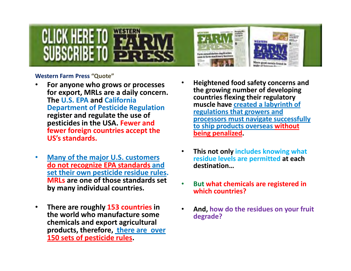



#### **Western Farm Press "Quote"**

- • **For anyone who grows or processes for export, MRLs are a daily concern. The U.S. EPA and California Department of Pesticide Regulation register and regulate the use of pesticides in the USA. Fewer and fewer foreign countries accept the US's standards.**
- $\bullet$  **Many of the major U.S. customers do not recognize EPA standards and set their own pesticide residue rules. MRLs are one of those standards set by many individual countries.**
- $\bullet$  **There are roughly 153 countries in the world who manufacture some chemicals and export agricultural products, therefore, there are over 150 sets of pesticide rules.**
- • **Heightened food safety concerns and the growing number of developing countries flexing their regulatory muscle have created a labyrinth of regulations that growers and processors must navigate successfully to ship products overseas without being penalized.**
- • **This not only includes knowing what residue levels are permitted at each destination…**
- • **But what chemicals are registered in which countries?**
- • **And, how do the residues on your fruit degrade?**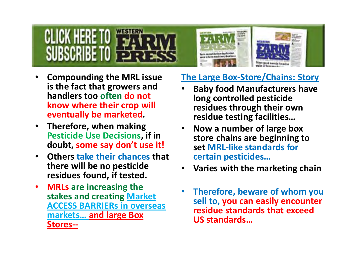# CLICK HERE I SUBSCRIBE TO



- • **Compounding the MRL issue is the fact that growers and handlers too often do not know where their crop will eventually be marketed.**
- $\bullet$ **Therefore, when making Pesticide Use Decisions, if in doubt, some say don't use it!**
- $\bullet$ **Others take their chances that there will be no pesticide residues found, if tested.**
- $\bullet$ **MRLs are increasing the stakes and creating Market ACCESS BARRIERs in overseas markets… and large Box Stores--**

### **The Large Box-Store/Chains: Story**

- **Baby food Manufacturers have**  •**long controlled pesticide residues through their own residue testing facilities…**
- **Now a number of large box**  •**store chains are beginning to set MRL-like standards for certain pesticides…**
- **Varies with the marketing chain**•
- •**Therefore, beware of whom you sell to, you can easily encounter residue standards that exceed US standards…**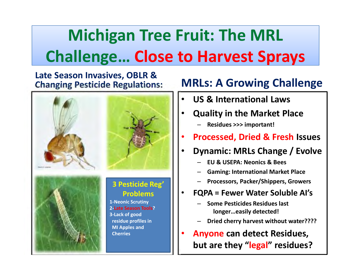# **Michigan Tree Fruit: The MRL Challenge… Close to Harvest Sprays**

### **Late Season Invasives, OBLR & Changing Pesticide Regulations:**



## **MRLs: A Growing Challenge**

- •**US & International Laws**
- • **Quality in the Market Place**
	- –**Residues >>> important!**
- •**Processed, Dried & Fresh Issues**
- •**Dynamic: MRLs Change / Evolve**
	- –**EU & USEPA: Neonics & Bees**
	- –**Gaming: International Market Place**
	- –**Processors, Packer/Shippers, Growers**
- • **FQPA = Fewer Water Soluble AI's**
	- – **Some Pesticides Residues last longer…easily detected!**
	- –**Dried cherry harvest without water????**
- •**Anyone can detect Residues, but are they "legal" residues?**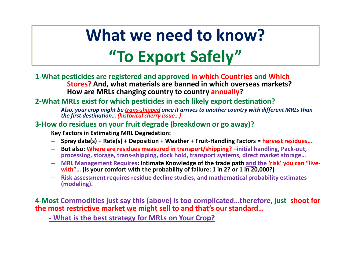# **What we need to know?"To Export Safely"**

- **1-What pesticides are registered and approved in which Countries and Which Stores? And, what materials are banned in which overseas markets? How are MRLs changing country to country annually?**
- **2-What MRLs exist for which pesticides in each likely export destination?**
	- –*Also, your crop might be trans-shipped once it arrives to another country with different MRLs than the first destination… (historical cherry issue…)*

#### **3-How do residues on your fruit degrade (breakdown or go away)?**

**Key Factors in Estimating MRL Degredation:**

- **Spray date(s) + Rate(s) + Deposition + Weather + Fruit-Handling Factors = harvest residues…**
- **But also: Where are residues measured in transport/shipping? –initial handling, Pack-out, processing, storage, trans-shipping, dock hold, transport systems, direct market storage…**
- **MRL Management Requires: Intimate Knowledge of the trade path and the 'risk' you can "livewith"… (is your comfort with the probability of failure: 1 in 2? or 1 in 20,000?)**
- –**Risk assessment requires residue decline studies, and mathematical probability estimates (modeling).**

**4-Most Commodities just say this (above) is too complicated…therefore, just shoot for the most restrictive market we might sell to and that's our standard…** 

**- What is the best strategy for MRLs on Your Crop?**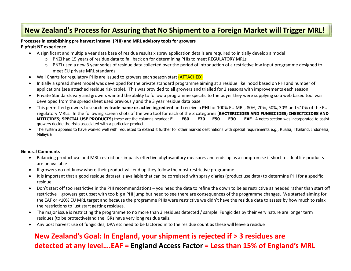#### **New Zealand's Process for Assuring that No Shipment to a Foreign Market will Trigger MRL!**

#### **Processes in establishing pre harvest interval (PHI) and MRL advisory tools for growers**

#### **Pipfruit NZ experience**

- A significant and multiple year data base of residue results x spray application details are required to initially develop a model
	- o PNZI had 15 years of residue data to fall back on for determining PHIs to meet REGULATORY MRLs
	- o PNZI used a new 3 year series of residue data collected over the period of introduction of a restrictive low input programme designed to meet EU private MRL standards
- •Wall Charts for regulatory PHIs are issued to growers each season start (ATTACHED)
- • Initially a spread sheet model was developed for the private standard programme aiming at a residue likelihood based on PHI and number of applications (see attached residue risk table). This was provided to all growers and trialled for 2 seasons with improvements each season
- • Private Standards vary and growers wanted the ability to follow a programme specific to the buyer they were supplying so a web based tool was developed from the spread sheet used previously and the 3 year residue data base
- $\bullet$  This permitted growers to search by **trade name or active ingredient** and receive **a PHI** for 100% EU MRL, 80%, 70%, 50%, 30% and <10% of the EU regulatory MRLs. In the following screen shots of the web tool for each of the 3 categories (**BACTERICIDES AND FUNGICIDES; INSECTICIDES AND MITICIDES; SPECIAL USE PRODUCTS**) these are the columns headed; **E E80 E70 E50 E30 EAF**. A notes section was incorporated to assist growers decide the risks associated with a particular product
- • The system appears to have worked well with requested to extend it further for other market destinations with special requirements e.g., Russia, Thailand, Indonesia, Malaysia

#### **General Comments**

- Balancing product use and MRL restrictions impacts effective phytosanitary measures and ends up as a compromise if short residual life products are unavailable
- If growers do not know where their product will end up they follow the most restrictive programme
- • It is important that a good residue dataset is available that can be correlated with spray diaries (product use data) to determine PHI for a specific residue
- • Don't start off too restrictive in the PHI recommendations – you need the data to refine the down to be as restrictive as needed rather than start off restrictive – growers get upset with too big a PHI jump but need to see there are consequences of the programme changes. We started aiming for the EAF or <10% EU MRL target and because the programme PHIs were restrictive we didn't have the residue data to assess by how much to relax the restrictions to just start getting residues.
- • The major issue is restricting the programme to no more than 3 residues detected / sample Fungicides by their very nature are longer term residues (to be protective)and the IGRs have very long residue tails.
- •Any post harvest use of fungicides, DPA etc need to be factored in to the residue count as these will leave a residue

#### **New Zealand's Goal: In England, your shipment is rejected if > 3 residues are detected at any level….EAF = England Access Factor = Less than 15% of England's MRL**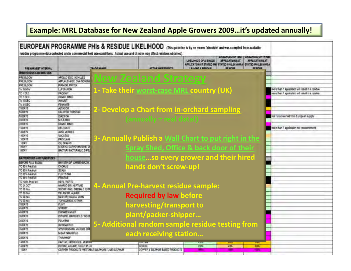### **Example: MRL Database for New Zealand Apple Growers 2009…it's updated annually!**

|                                   |                                             | residue programme data collected under commercial field use conditions. Actual use and climate may affect residues obtained) |                                       | EUROPEAN PROGRAMME PHIS & RESIDUE LIKELIHOOD (This guideline is by no means 'absolute' and was compled from available                                                                                                                                                                |                                                  |
|-----------------------------------|---------------------------------------------|------------------------------------------------------------------------------------------------------------------------------|---------------------------------------|--------------------------------------------------------------------------------------------------------------------------------------------------------------------------------------------------------------------------------------------------------------------------------------|--------------------------------------------------|
| PRE HARVEST INTERVAL              |                                             | <b>FAIL NE WANKS</b>                                                                                                         | <b><i>LITTING AND DEVICED TO</i></b>  | <b>THE LATER OF B</b><br><b>WELL MUGU UP TH</b><br><b>UKELIHOOD OF A WASLE</b><br><b>APPLICATIONS AT</b><br><b>APPLICATIONS AT</b><br><b>APPLICATION AT STATED PH</b><br><b>STATED PHILEAWAR A</b><br><b>STATED PRILEAWIGA</b><br>LEAVING A MENOVIE<br><b>DISTURB</b><br>contant (b) |                                                  |
| <b>IS REPORT FOR THE ONE</b>      |                                             |                                                                                                                              |                                       |                                                                                                                                                                                                                                                                                      |                                                  |
| PRE BLOCAL                        | APOLLO \$35C ACHILLES                       |                                                                                                                              |                                       |                                                                                                                                                                                                                                                                                      |                                                  |
| <b>PAE BLOCM</b>                  | APPLALD ASC. OVATIONS BV                    |                                                                                                                              | <b>New Zealand Strategy</b>           |                                                                                                                                                                                                                                                                                      |                                                  |
| <b>PRE BLOOM</b>                  | PIRMOR, PRITER                              |                                                                                                                              |                                       |                                                                                                                                                                                                                                                                                      |                                                  |
| To 15 NOV                         | <b>LUFENURON</b>                            |                                                                                                                              |                                       |                                                                                                                                                                                                                                                                                      | more than 1 application will result in a rosidue |
| TC-10EC                           | PRODGY                                      |                                                                                                                              |                                       | 1- Take their worst-case MRL country (UK)                                                                                                                                                                                                                                            | more than 1 application will result on residue.  |
| TO 1DEC                           | COMIC, MMIC                                 |                                                                                                                              |                                       |                                                                                                                                                                                                                                                                                      |                                                  |
| To COEC                           | <b>AVAUNT</b>                               |                                                                                                                              |                                       |                                                                                                                                                                                                                                                                                      |                                                  |
| To 11 DEC                         | FENANSTE                                    |                                                                                                                              |                                       |                                                                                                                                                                                                                                                                                      |                                                  |
| TO DAYS                           | ALTACOR.                                    |                                                                                                                              |                                       |                                                                                                                                                                                                                                                                                      |                                                  |
| 55 DAYS                           | CALYPSO, TOPSTAR                            |                                                                                                                              |                                       | 2- Develop a Chart from in-orchard sampling                                                                                                                                                                                                                                          |                                                  |
| <b>56 DAYS</b>                    | DIAZINON                                    |                                                                                                                              |                                       |                                                                                                                                                                                                                                                                                      | Not recommendd from European supply              |
| TAIWAYS                           | <b>MIT-EMEC</b>                             |                                                                                                                              | $(annually = real data!)$             |                                                                                                                                                                                                                                                                                      |                                                  |
| 18 DAYS                           | COANC, MAILC                                |                                                                                                                              |                                       |                                                                                                                                                                                                                                                                                      |                                                  |
| 13 DAYS                           | <b>DELEGATE</b>                             |                                                                                                                              |                                       |                                                                                                                                                                                                                                                                                      | more than 1 application not recommended.         |
| <b>14 DAYS</b>                    | AVO, VERDEX                                 |                                                                                                                              |                                       |                                                                                                                                                                                                                                                                                      |                                                  |
| <b>TADAYS</b>                     | <b>SUCCESS</b>                              |                                                                                                                              |                                       |                                                                                                                                                                                                                                                                                      |                                                  |
| <b>JIMRT</b>                      | PROCLAM                                     |                                                                                                                              |                                       | 3- Annually Publish a Wall Chart to put right in the                                                                                                                                                                                                                                 |                                                  |
| <b>104Y</b>                       | OIL SPRAYS                                  |                                                                                                                              |                                       |                                                                                                                                                                                                                                                                                      |                                                  |
| DOAT                              | MADEXI, CARPOVIRUSINE, V                    |                                                                                                                              |                                       | Spray Shed, Office & back door of their                                                                                                                                                                                                                                              |                                                  |
| <b>DEAY</b>                       | <b>BACTUR EACTURENCE OFF</b>                |                                                                                                                              |                                       |                                                                                                                                                                                                                                                                                      |                                                  |
|                                   |                                             |                                                                                                                              |                                       |                                                                                                                                                                                                                                                                                      |                                                  |
| <b>BACTERICIDES AND FUNDIDUES</b> |                                             |                                                                                                                              |                                       | houseso every grower and their hired                                                                                                                                                                                                                                                 |                                                  |
| <b>BISEX SECTION SHOCK</b>        | <b>ENVISONIST DEL BERREN M</b>              |                                                                                                                              |                                       |                                                                                                                                                                                                                                                                                      |                                                  |
| TO TO IL Petal fall               | CHORUS                                      |                                                                                                                              | hands don't screw-up!                 |                                                                                                                                                                                                                                                                                      |                                                  |
| TO 90% Pataidali                  | SCALA                                       |                                                                                                                              |                                       |                                                                                                                                                                                                                                                                                      |                                                  |
| TO 30% Patz full                  | <b>FLINT STAR</b>                           |                                                                                                                              |                                       |                                                                                                                                                                                                                                                                                      |                                                  |
| TO 90% Piecel Talk                | PRISTIVE                                    |                                                                                                                              |                                       |                                                                                                                                                                                                                                                                                      |                                                  |
| TO 100% Petal lat                 | <b>KEYSTREPTO</b>                           |                                                                                                                              |                                       |                                                                                                                                                                                                                                                                                      |                                                  |
| TO 31 OCT<br>TO 30 Naw            | NIMARCO EW. NEPTUNE                         |                                                                                                                              | 4- Annual Pre-harvest residue sample: |                                                                                                                                                                                                                                                                                      |                                                  |
| TO 30 Mpi                         | SCORE (MAG. EMERALD TOWN<br>DELAN WO. ALARS |                                                                                                                              |                                       |                                                                                                                                                                                                                                                                                      |                                                  |
| TO 30 Nov                         | NUSTAR NOVALL JOING                         |                                                                                                                              | <b>Required by law before</b>         |                                                                                                                                                                                                                                                                                      |                                                  |
| TO 30 Nov                         | <b><i>RATIONSSARK</i></b>                   |                                                                                                                              |                                       |                                                                                                                                                                                                                                                                                      |                                                  |
| TO DAYS                           | <b>FLINT</b>                                |                                                                                                                              |                                       |                                                                                                                                                                                                                                                                                      |                                                  |
| 45 DAYS                           | <b>STROBY</b>                               |                                                                                                                              | harvesting/transport to               |                                                                                                                                                                                                                                                                                      |                                                  |
| 45 DAYS                           | <b><i>HUPARENMALTI</i></b>                  |                                                                                                                              |                                       |                                                                                                                                                                                                                                                                                      |                                                  |
| <b>36 DAYS</b>                    | <b>DITINANE RANSHEILD/ MEOT</b>             |                                                                                                                              | plant/packer-shipper                  |                                                                                                                                                                                                                                                                                      |                                                  |
| 36 DAYS                           | POLYRAM                                     |                                                                                                                              |                                       |                                                                                                                                                                                                                                                                                      |                                                  |
| 35 DAYS                           | <b>RUBGAN FLO</b>                           |                                                                                                                              |                                       | 5- Additional random sample residue testing from                                                                                                                                                                                                                                     |                                                  |
|                                   |                                             |                                                                                                                              |                                       |                                                                                                                                                                                                                                                                                      |                                                  |
| <b>15 DAYS</b>                    | SYSTIMATE KON, VALIDUS 200                  |                                                                                                                              |                                       |                                                                                                                                                                                                                                                                                      |                                                  |
| 280AYS                            | MEAR GRANUPLO                               |                                                                                                                              | each receiving station                |                                                                                                                                                                                                                                                                                      |                                                  |
| 28 DAYS                           | THIS WANDE                                  |                                                                                                                              |                                       |                                                                                                                                                                                                                                                                                      |                                                  |
| 14DAF5                            | CAPTAN, DRIVIODDE, MERFRI                   |                                                                                                                              |                                       |                                                                                                                                                                                                                                                                                      |                                                  |
| 14 DAYS                           | DODNE ANLANE SYLUT PLUS                     |                                                                                                                              | <b>DODIE</b>                          | -10%<br><b>EDN</b><br>40%                                                                                                                                                                                                                                                            |                                                  |
| 1 DAY                             |                                             | COPPER PRODUCTS WE'llABLE SULPHURS, LIME SULPHUR                                                                             | COPPER 4 SULPHUR EASED PRODUCTS       |                                                                                                                                                                                                                                                                                      |                                                  |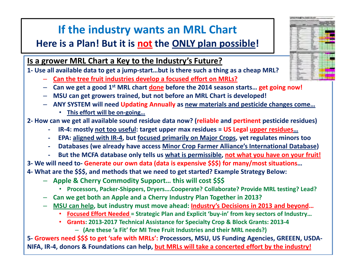## **If the industry wants an MRL Chart**

### **Here is a Plan! But it is not the ONLY plan possible!**

**Is a grower MRL Chart a Key to the Industry's Future?**

**1- Use all available data to get a jump-start…but is there such a thing as a cheap MRL?**

- **Can the tree fruit industries develop a focused effort on MRLs?**
- **Can we get a good 1st MRL chart done before the 2014 season starts… get going now!**
- **MSU can get growers trained, but not before an MRL Chart is developed!**
- **ANY SYSTEM will need Updating Annually as new materials and pesticide changes come…**
	- **This effort will be on-going…**

**2- How can we get all available sound residue data now? (reliable and pertinent pesticide residues)**

- **-IR-4: mostly not too useful: target upper max residues = US Legal upper residues…**
- **EPA: aligned with IR-4, but focused primarily on Major Crops, yet regulates minors too-**
- **- Databases (we already have access Minor Crop Farmer Alliance's International Database)**
- **- But the MCFA database only tells us what is permissible, not what you have on your fruit!**

**3- We will need to- Generate our own data (data is expensive \$\$\$) for many/most situations …**

**4- What are the \$\$\$, and methods that we need to get started? Example Strategy Below:**

- –**Apple & Cherry Commodity Support… this will cost \$\$\$**
	- **Processors, Packer-Shippers, Dryers….Cooperate? Collaborate? Provide MRL testing? Lead?** $\bullet$
- **Can we get both an Apple and a Cherry Industry Plan Together in 2013?**
- **MSU can help, but industry must move ahead: Industry's Decisions in 2013 and beyond…**
	- **Focused Effort Needed = Strategic Plan and Explicit 'buy-in' from key sectors of Industry…**•
	- **Grants: 2013-2017 Technical Assistance for Specialty Crop & Block Grants: 2013-4**
		- **(Are these 'a Fit' for MI Tree Fruit Industries and their MRL needs?)**

**5- Growers need \$\$\$ to get 'safe with MRLs': Processors, MSU, US Funding Agencies, GREEEN, USDA-NIFA, IR-4, donors & Foundations can help, but MRLs will take a concerted effort by the industry!**

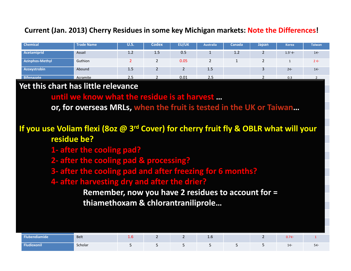#### **Current (Jan. 2013) Cherry Residues in some key Michigan markets: Note the Differences!**

| <b>Chemical</b>   | <b>Trade Name</b> | <b>U.S.</b> | <b>Codex</b> | EU/UK | <b>Australia</b> | Canada | <b>Japan</b> | <b>Korea</b>       | <b>Taiwan</b>  |
|-------------------|-------------------|-------------|--------------|-------|------------------|--------|--------------|--------------------|----------------|
| Acetamiprid       | Assail            | 1.2         | 1.5          | 0.5   | -                | 1.2    |              | $1.5^c \leftarrow$ | $1 \leftarrow$ |
| Azinphos-Methyl   | Guthion           |             |              | 0.05  |                  |        |              |                    | $2 \leftarrow$ |
| Azoxystrobin      | Abound            | $1.5\,$     |              |       | 1.5              |        |              | $2 \leftarrow$     | $1 \leftarrow$ |
| <b>Bifenazate</b> | Acramite          | 2.5         |              | 0.01  | 2.5              |        |              | 0.3                |                |

#### **Boscalid** Pristine 3.5**Yet this chart has little relevance** 3 4 1.7 1.7 3 1 1.7←

**Buntil we know what the residue is at harvest …** 

Captan Captan Time 11K or formulation to the Setting of the Setting of The Captan Captain 25 or for the Captan C Carbaryl **Sevin 10 or 10 in 10 in 10 in 10 in 10 in 10 in 10 in 10 in 10 in 10 in 10 in 10 in 10 in 10 in 10 i or, for overseas MRLs, when the fruit is tested in the UK or Taiwan…**

### **Chlorothalonil** Bravo 0.5 0.5 0.01 10 0.5 0.5 0.5<sup>c</sup> ← 0.01← **If you use Voliam flexi (8oz @ 3rd Cover) for cherry fruit fly & OBLR what will your Children 18 September 18 September 18 September 18 September 18 September 18 September 18 September 18 September 18 September 18 September 18 September 18 September 18 September 18 September 18 September 18 September 18 S**

- **Clofentezine** Apollo 1 0.5 0.02 0.1 0.2 0.2 0.5← **Diazinon** Diazinon 0.2 1 0.01 0.5 0.75 0.1 0.1← 1← **1- after the cooling pad?**
- **Dimethoate** Dimethoate 2 2 0.2 5 2 2 2←**2- after the cooling pad & processing?**
- **B** after the cooling pad and after freezing for 6 months?
- **Example 2 + 0.02 Term in 2 1 0.02 + 1 0.02 + 1 0.02 + 1 0.02 + 1 0.02 + 1 0.02 + 1 0.02 + 1 0.02 + 1 0.02 + 1 0.02 + 1 0.02 + 1 0.02 + 1 0.02 + 1 0.02 + 1 0.02 + 1 0.02 + 1 0.02 + 1 0.02 + 1 0.02 + 1 0.02 + 1 0.02 + 1 0.0**

**Fenarimol** Rubigan 1 1 1 1 1 1← 1← **Fenbuconazole** Indar 1 1 1 1 0.8 1 2 1← **Remember, now you have 2 residues to account for = Fenbutatin-oxide** Vendex 6 10 0.05 <sup>6</sup> <sup>10</sup>5 2 **thiamethoxam & chlorantraniliprole…**

| endiamide<br>הוווב | Belt    | ±.v |  | ⊥.∪ |  | $\sim$ $ \sim$<br>$\mathsf{U} \cdot \mathsf{V} \setminus$ |              |
|--------------------|---------|-----|--|-----|--|-----------------------------------------------------------|--------------|
| <b>Hudioxonil</b>  | Scholar |     |  |     |  | $\sim$                                                    | ∽←<br>$\sim$ |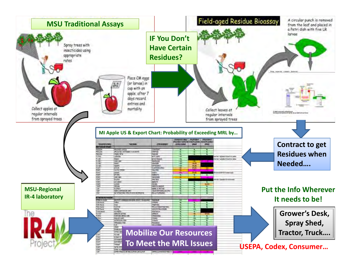